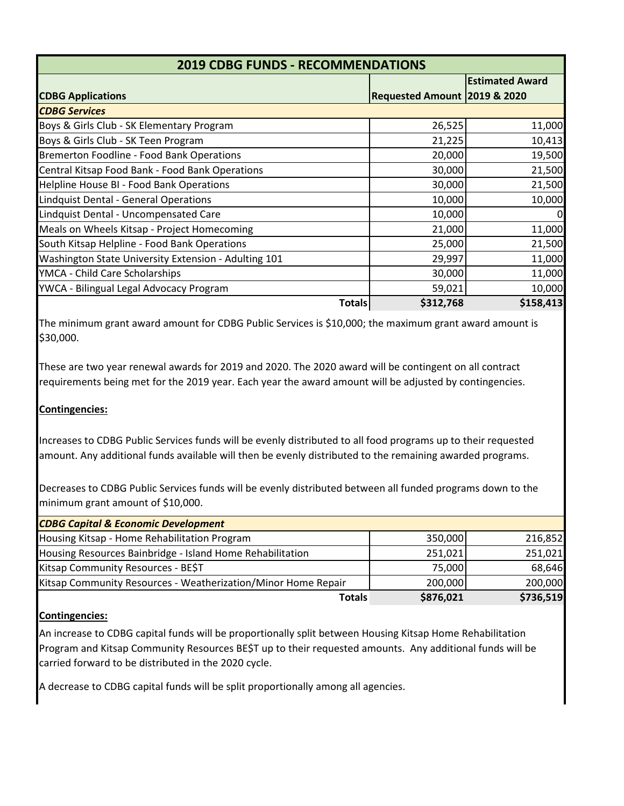| <b>2019 CDBG FUNDS - RECOMMENDATIONS</b>             |                                         |                        |  |
|------------------------------------------------------|-----------------------------------------|------------------------|--|
|                                                      |                                         | <b>Estimated Award</b> |  |
| <b>CDBG Applications</b>                             | <b>Requested Amount 2019 &amp; 2020</b> |                        |  |
| <b>CDBG Services</b>                                 |                                         |                        |  |
| Boys & Girls Club - SK Elementary Program            | 26,525                                  | 11,000                 |  |
| Boys & Girls Club - SK Teen Program                  | 21,225                                  | 10,413                 |  |
| Bremerton Foodline - Food Bank Operations            | 20,000                                  | 19,500                 |  |
| Central Kitsap Food Bank - Food Bank Operations      | 30,000                                  | 21,500                 |  |
| Helpline House BI - Food Bank Operations             | 30,000                                  | 21,500                 |  |
| Lindquist Dental - General Operations                | 10,000                                  | 10,000                 |  |
| Lindquist Dental - Uncompensated Care                | 10,000                                  | $\Omega$               |  |
| Meals on Wheels Kitsap - Project Homecoming          | 21,000                                  | 11,000                 |  |
| South Kitsap Helpline - Food Bank Operations         | 25,000                                  | 21,500                 |  |
| Washington State University Extension - Adulting 101 | 29,997                                  | 11,000                 |  |
| YMCA - Child Care Scholarships                       | 30,000                                  | 11,000                 |  |
| YWCA - Bilingual Legal Advocacy Program              | 59,021                                  | 10,000                 |  |
| <b>Totals</b>                                        | \$312,768                               | \$158,413              |  |

The minimum grant award amount for CDBG Public Services is \$10,000; the maximum grant award amount is \$30,000.

These are two year renewal awards for 2019 and 2020. The 2020 award will be contingent on all contract requirements being met for the 2019 year. Each year the award amount will be adjusted by contingencies.

## **Contingencies:**

Increases to CDBG Public Services funds will be evenly distributed to all food programs up to their requested amount. Any additional funds available will then be evenly distributed to the remaining awarded programs.

Decreases to CDBG Public Services funds will be evenly distributed between all funded programs down to the minimum grant amount of \$10,000.

| <b>CDBG Capital &amp; Economic Development</b>                |           |           |
|---------------------------------------------------------------|-----------|-----------|
| Housing Kitsap - Home Rehabilitation Program                  | 350,000   | 216,852   |
| Housing Resources Bainbridge - Island Home Rehabilitation     | 251,021   | 251,021   |
| Kitsap Community Resources - BE\$T                            | 75,000    | 68,646    |
| Kitsap Community Resources - Weatherization/Minor Home Repair | 200,000   | 200,000   |
| <b>Totals</b>                                                 | \$876,021 | \$736,519 |

## **Contingencies:**

An increase to CDBG capital funds will be proportionally split between Housing Kitsap Home Rehabilitation Program and Kitsap Community Resources BE\$T up to their requested amounts. Any additional funds will be carried forward to be distributed in the 2020 cycle.

A decrease to CDBG capital funds will be split proportionally among all agencies.